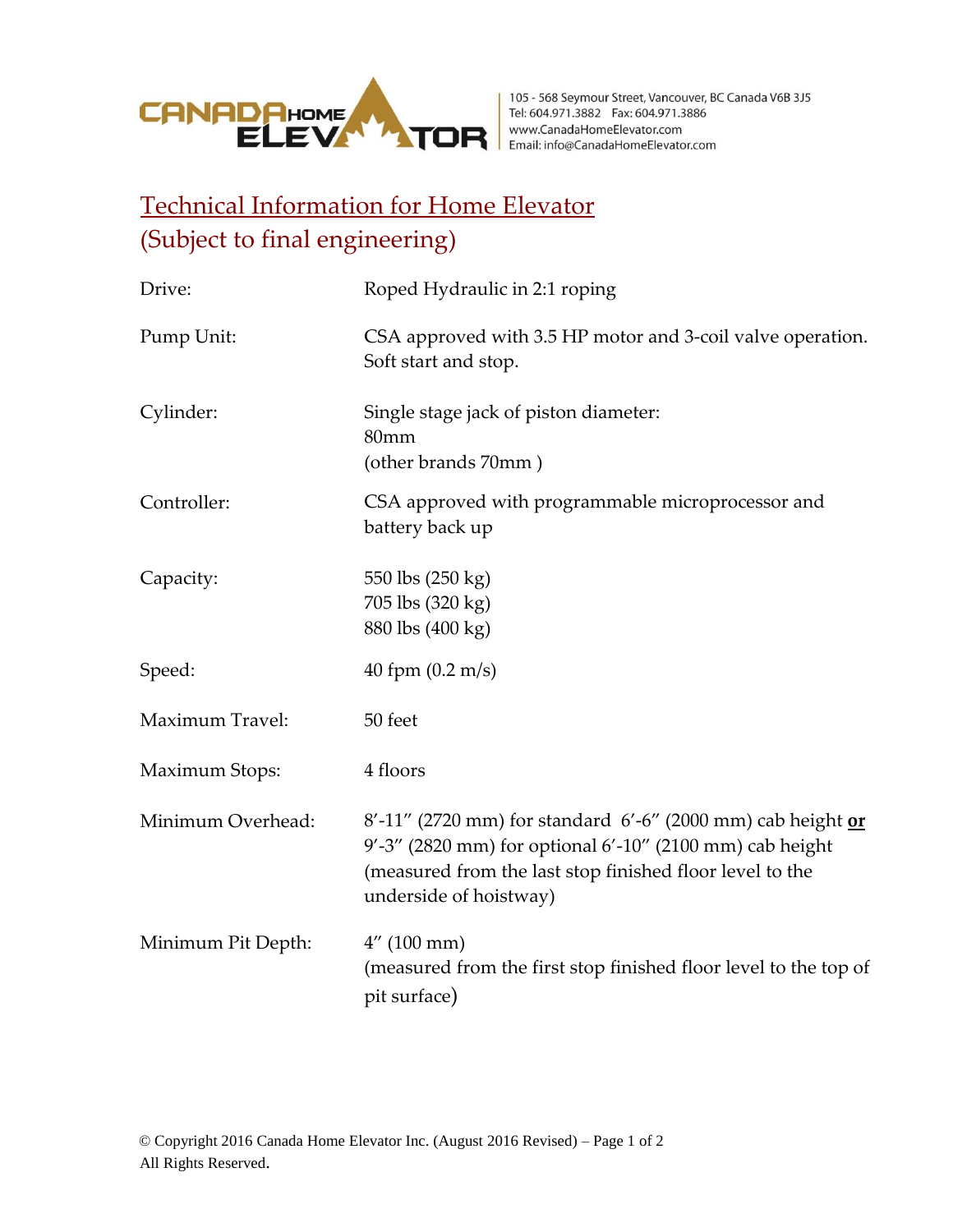

## Technical Information for Home Elevator (Subject to final engineering)

| Drive:             | Roped Hydraulic in 2:1 roping                                                                                                                                                                                 |  |
|--------------------|---------------------------------------------------------------------------------------------------------------------------------------------------------------------------------------------------------------|--|
| Pump Unit:         | CSA approved with 3.5 HP motor and 3-coil valve operation.<br>Soft start and stop.                                                                                                                            |  |
| Cylinder:          | Single stage jack of piston diameter:<br>80mm<br>(other brands 70mm)                                                                                                                                          |  |
| Controller:        | CSA approved with programmable microprocessor and<br>battery back up                                                                                                                                          |  |
| Capacity:          | 550 lbs (250 kg)<br>705 lbs (320 kg)<br>880 lbs (400 kg)                                                                                                                                                      |  |
| Speed:             | 40 fpm $(0.2 \text{ m/s})$                                                                                                                                                                                    |  |
| Maximum Travel:    | 50 feet                                                                                                                                                                                                       |  |
| Maximum Stops:     | 4 floors                                                                                                                                                                                                      |  |
| Minimum Overhead:  | 8'-11" (2720 mm) for standard 6'-6" (2000 mm) cab height or<br>9'-3" (2820 mm) for optional 6'-10" (2100 mm) cab height<br>(measured from the last stop finished floor level to the<br>underside of hoistway) |  |
| Minimum Pit Depth: | $4''$ (100 mm)<br>(measured from the first stop finished floor level to the top of<br>pit surface)                                                                                                            |  |